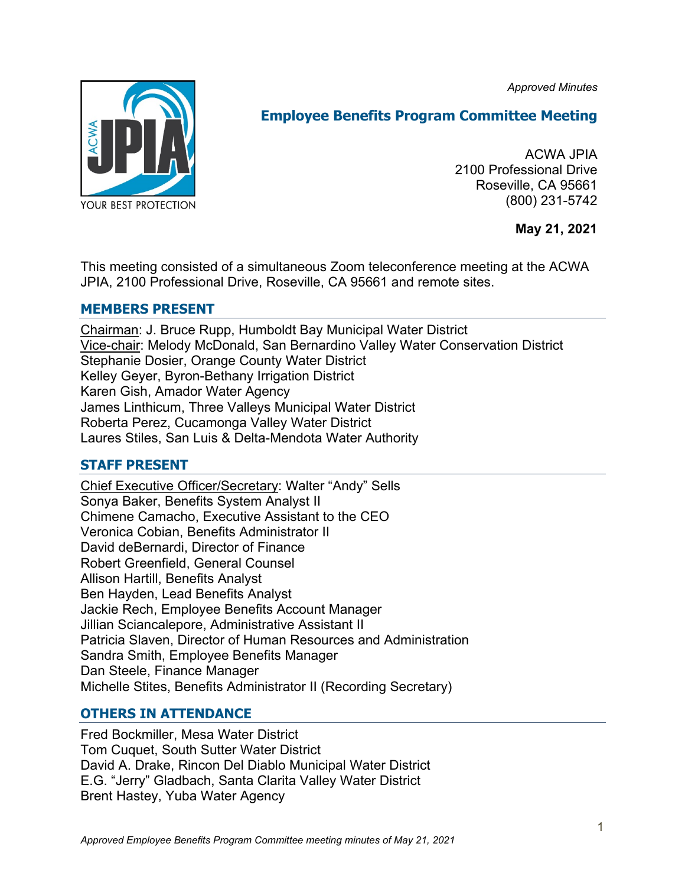*Approved Minutes*



# **Employee Benefits Program Committee Meeting**

ACWA JPIA 2100 Professional Drive Roseville, CA 95661 (800) 231-5742

**May 21, 2021**

This meeting consisted of a simultaneous Zoom teleconference meeting at the ACWA JPIA, 2100 Professional Drive, Roseville, CA 95661 and remote sites.

# **MEMBERS PRESENT**

Chairman: J. Bruce Rupp, Humboldt Bay Municipal Water District Vice-chair: Melody McDonald, San Bernardino Valley Water Conservation District Stephanie Dosier, Orange County Water District Kelley Geyer, Byron-Bethany Irrigation District Karen Gish, Amador Water Agency James Linthicum, Three Valleys Municipal Water District Roberta Perez, Cucamonga Valley Water District Laures Stiles, San Luis & Delta-Mendota Water Authority

# **STAFF PRESENT**

Chief Executive Officer/Secretary: Walter "Andy" Sells Sonya Baker, Benefits System Analyst II Chimene Camacho, Executive Assistant to the CEO Veronica Cobian, Benefits Administrator II David deBernardi, Director of Finance Robert Greenfield, General Counsel Allison Hartill, Benefits Analyst Ben Hayden, Lead Benefits Analyst Jackie Rech, Employee Benefits Account Manager Jillian Sciancalepore, Administrative Assistant II Patricia Slaven, Director of Human Resources and Administration Sandra Smith, Employee Benefits Manager Dan Steele, Finance Manager Michelle Stites, Benefits Administrator II (Recording Secretary)

# **OTHERS IN ATTENDANCE**

Fred Bockmiller, Mesa Water District Tom Cuquet, South Sutter Water District David A. Drake, Rincon Del Diablo Municipal Water District E.G. "Jerry" Gladbach, Santa Clarita Valley Water District Brent Hastey, Yuba Water Agency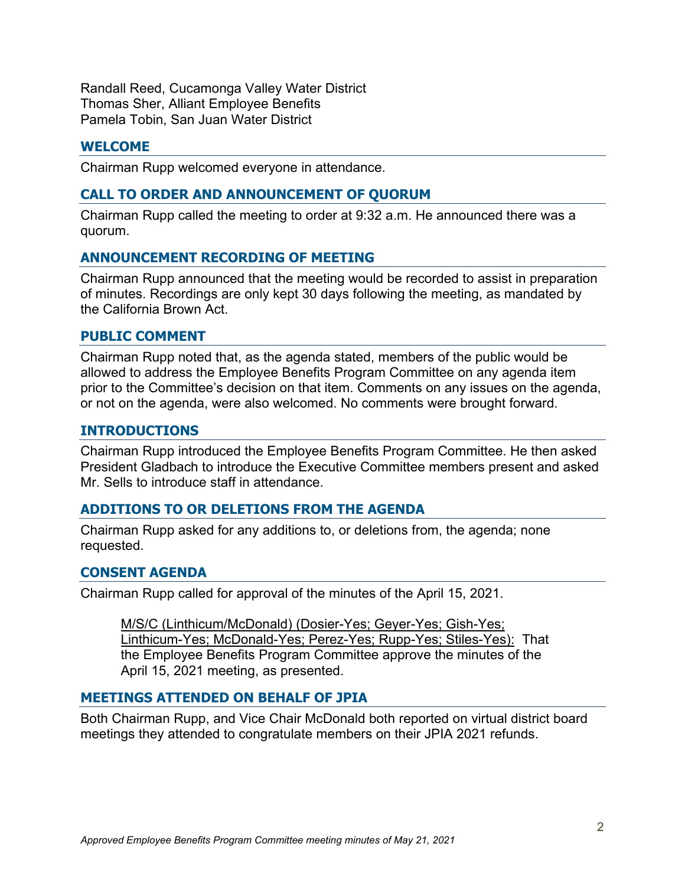Randall Reed, Cucamonga Valley Water District Thomas Sher, Alliant Employee Benefits Pamela Tobin, San Juan Water District

# **WELCOME**

Chairman Rupp welcomed everyone in attendance.

# **CALL TO ORDER AND ANNOUNCEMENT OF QUORUM**

Chairman Rupp called the meeting to order at 9:32 a.m. He announced there was a quorum.

# **ANNOUNCEMENT RECORDING OF MEETING**

Chairman Rupp announced that the meeting would be recorded to assist in preparation of minutes. Recordings are only kept 30 days following the meeting, as mandated by the California Brown Act.

#### **PUBLIC COMMENT**

Chairman Rupp noted that, as the agenda stated, members of the public would be allowed to address the Employee Benefits Program Committee on any agenda item prior to the Committee's decision on that item. Comments on any issues on the agenda, or not on the agenda, were also welcomed. No comments were brought forward.

# **INTRODUCTIONS**

Chairman Rupp introduced the Employee Benefits Program Committee. He then asked President Gladbach to introduce the Executive Committee members present and asked Mr. Sells to introduce staff in attendance.

# **ADDITIONS TO OR DELETIONS FROM THE AGENDA**

Chairman Rupp asked for any additions to, or deletions from, the agenda; none requested.

# **CONSENT AGENDA**

Chairman Rupp called for approval of the minutes of the April 15, 2021.

M/S/C (Linthicum/McDonald) (Dosier-Yes; Geyer-Yes; Gish-Yes; Linthicum-Yes; McDonald-Yes; Perez-Yes; Rupp-Yes; Stiles-Yes): That the Employee Benefits Program Committee approve the minutes of the April 15, 2021 meeting, as presented.

#### **MEETINGS ATTENDED ON BEHALF OF JPIA**

Both Chairman Rupp, and Vice Chair McDonald both reported on virtual district board meetings they attended to congratulate members on their JPIA 2021 refunds.